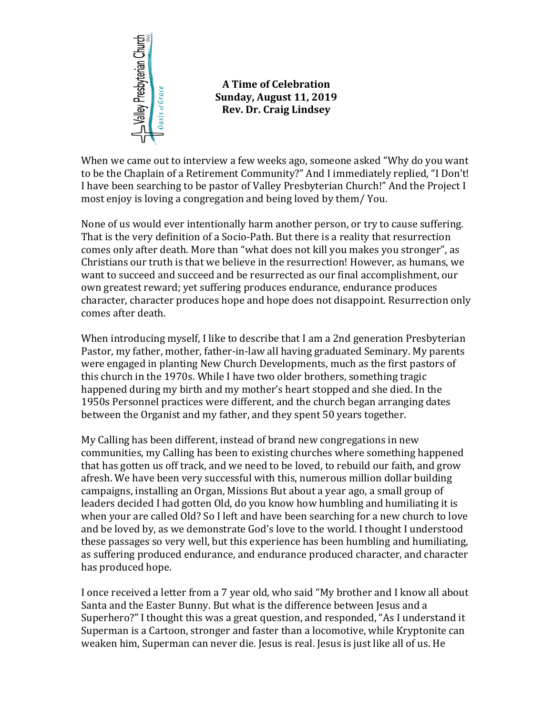

## **A Time of Celebration Sunday, August 11, 2019 Rev. Dr. Craig Lindsey**

When we came out to interview a few weeks ago, someone asked "Why do you want to be the Chaplain of a Retirement Community?" And I immediately replied, "I Don't! I have been searching to be pastor of Valley Presbyterian Church!" And the Project I most enjoy is loving a congregation and being loved by them/ You.

None of us would ever intentionally harm another person, or try to cause suffering. That is the very definition of a Socio-Path. But there is a reality that resurrection comes only after death. More than "what does not kill you makes you stronger", as Christians our truth is that we believe in the resurrection! However, as humans, we want to succeed and succeed and be resurrected as our final accomplishment, our own greatest reward; yet suffering produces endurance, endurance produces character, character produces hope and hope does not disappoint. Resurrection only comes after death.

When introducing myself, I like to describe that I am a 2nd generation Presbyterian Pastor, my father, mother, father-in-law all having graduated Seminary. My parents were engaged in planting New Church Developments, much as the first pastors of this church in the 1970s. While I have two older brothers, something tragic happened during my birth and my mother's heart stopped and she died. In the 1950s Personnel practices were different, and the church began arranging dates between the Organist and my father, and they spent 50 years together.

My Calling has been different, instead of brand new congregations in new communities, my Calling has been to existing churches where something happened that has gotten us off track, and we need to be loved, to rebuild our faith, and grow afresh. We have been very successful with this, numerous million dollar building campaigns, installing an Organ, Missions But about a year ago, a small group of leaders decided I had gotten Old, do you know how humbling and humiliating it is when your are called Old? So I left and have been searching for a new church to love and be loved by, as we demonstrate God's love to the world. I thought I understood these passages so very well, but this experience has been humbling and humiliating, as suffering produced endurance, and endurance produced character, and character has produced hope.

I once received a letter from a 7 year old, who said "My brother and I know all about Santa and the Easter Bunny. But what is the difference between Jesus and a Superhero?" I thought this was a great question, and responded, "As I understand it Superman is a Cartoon, stronger and faster than a locomotive, while Kryptonite can weaken him, Superman can never die. Jesus is real. Jesus is just like all of us. He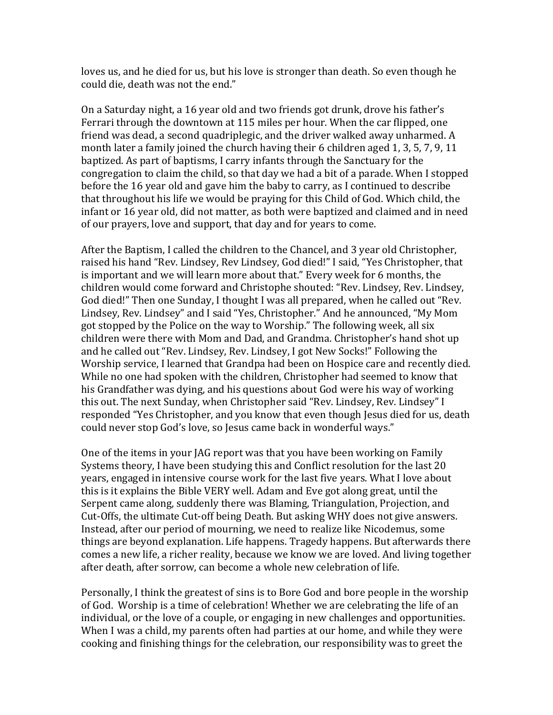loves us, and he died for us, but his love is stronger than death. So even though he could die, death was not the end."

On a Saturday night, a 16 year old and two friends got drunk, drove his father's Ferrari through the downtown at 115 miles per hour. When the car flipped, one friend was dead, a second quadriplegic, and the driver walked away unharmed. A month later a family joined the church having their 6 children aged 1, 3, 5, 7, 9, 11 baptized. As part of baptisms, I carry infants through the Sanctuary for the congregation to claim the child, so that day we had a bit of a parade. When I stopped before the 16 year old and gave him the baby to carry, as I continued to describe that throughout his life we would be praying for this Child of God. Which child, the infant or 16 year old, did not matter, as both were baptized and claimed and in need of our prayers, love and support, that day and for years to come.

After the Baptism, I called the children to the Chancel, and 3 year old Christopher, raised his hand "Rev. Lindsey, Rev Lindsey, God died!" I said, "Yes Christopher, that is important and we will learn more about that." Every week for 6 months, the children would come forward and Christophe shouted: "Rev. Lindsey, Rev. Lindsey, God died!" Then one Sunday, I thought I was all prepared, when he called out "Rev. Lindsey, Rev. Lindsey" and I said "Yes, Christopher." And he announced, "My Mom got stopped by the Police on the way to Worship." The following week, all six children were there with Mom and Dad, and Grandma. Christopher's hand shot up and he called out "Rev. Lindsey, Rev. Lindsey, I got New Socks!" Following the Worship service, I learned that Grandpa had been on Hospice care and recently died. While no one had spoken with the children, Christopher had seemed to know that his Grandfather was dying, and his questions about God were his way of working this out. The next Sunday, when Christopher said "Rev. Lindsey, Rev. Lindsey" I responded "Yes Christopher, and you know that even though Jesus died for us, death could never stop God's love, so Jesus came back in wonderful ways."

One of the items in your JAG report was that you have been working on Family Systems theory, I have been studying this and Conflict resolution for the last 20 years, engaged in intensive course work for the last five years. What I love about this is it explains the Bible VERY well. Adam and Eve got along great, until the Serpent came along, suddenly there was Blaming, Triangulation, Projection, and Cut-Offs, the ultimate Cut-off being Death. But asking WHY does not give answers. Instead, after our period of mourning, we need to realize like Nicodemus, some things are beyond explanation. Life happens. Tragedy happens. But afterwards there comes a new life, a richer reality, because we know we are loved. And living together after death, after sorrow, can become a whole new celebration of life.

Personally, I think the greatest of sins is to Bore God and bore people in the worship of God. Worship is a time of celebration! Whether we are celebrating the life of an individual, or the love of a couple, or engaging in new challenges and opportunities. When I was a child, my parents often had parties at our home, and while they were cooking and finishing things for the celebration, our responsibility was to greet the